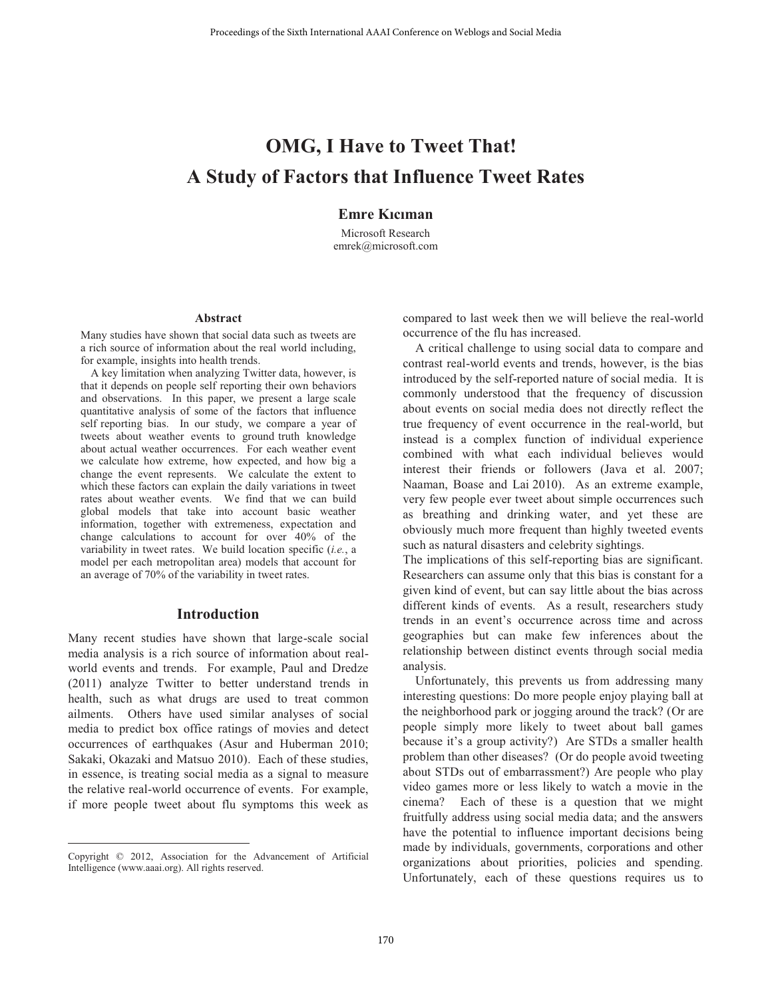# **OMG, I Have to Tweet That! A Study of Factors that Influence Tweet Rates**

# **Emre Kıcıman**

Microsoft Research emrek@microsoft.com

#### **Abstract**

Many studies have shown that social data such as tweets are a rich source of information about the real world including, for example, insights into health trends.

A key limitation when analyzing Twitter data, however, is that it depends on people self reporting their own behaviors and observations. In this paper, we present a large scale quantitative analysis of some of the factors that influence self reporting bias. In our study, we compare a year of tweets about weather events to ground truth knowledge about actual weather occurrences. For each weather event we calculate how extreme, how expected, and how big a change the event represents. We calculate the extent to which these factors can explain the daily variations in tweet rates about weather events. We find that we can build global models that take into account basic weather information, together with extremeness, expectation and change calculations to account for over 40% of the variability in tweet rates. We build location specific (*i.e.*, a model per each metropolitan area) models that account for an average of 70% of the variability in tweet rates.

#### **Introduction**

Many recent studies have shown that large-scale social media analysis is a rich source of information about realworld events and trends. For example, Paul and Dredze (2011) analyze Twitter to better understand trends in health, such as what drugs are used to treat common ailments. Others have used similar analyses of social media to predict box office ratings of movies and detect occurrences of earthquakes (Asur and Huberman 2010; Sakaki, Okazaki and Matsuo 2010). Each of these studies, in essence, is treating social media as a signal to measure the relative real-world occurrence of events. For example, if more people tweet about flu symptoms this week as

 $\overline{a}$ 

compared to last week then we will believe the real-world occurrence of the flu has increased.

A critical challenge to using social data to compare and contrast real-world events and trends, however, is the bias introduced by the self-reported nature of social media. It is commonly understood that the frequency of discussion about events on social media does not directly reflect the true frequency of event occurrence in the real-world, but instead is a complex function of individual experience combined with what each individual believes would interest their friends or followers (Java et al. 2007; Naaman, Boase and Lai 2010). As an extreme example, very few people ever tweet about simple occurrences such as breathing and drinking water, and yet these are obviously much more frequent than highly tweeted events such as natural disasters and celebrity sightings.

The implications of this self-reporting bias are significant. Researchers can assume only that this bias is constant for a given kind of event, but can say little about the bias across different kinds of events. As a result, researchers study trends in an event's occurrence across time and across geographies but can make few inferences about the relationship between distinct events through social media analysis.

Unfortunately, this prevents us from addressing many interesting questions: Do more people enjoy playing ball at the neighborhood park or jogging around the track? (Or are people simply more likely to tweet about ball games because it's a group activity?) Are STDs a smaller health problem than other diseases? (Or do people avoid tweeting about STDs out of embarrassment?) Are people who play video games more or less likely to watch a movie in the cinema? Each of these is a question that we might fruitfully address using social media data; and the answers have the potential to influence important decisions being made by individuals, governments, corporations and other organizations about priorities, policies and spending. Unfortunately, each of these questions requires us to Trocedings of the Sixth International AAAI Conference on Weblogs and Social Media<br>
Study of Factors that Influence Tweet That!<br>
Study of Factors that Influence Tweet Ra<br>
Exerce Memorial Conference of the Sixth Internation

Copyright © 2012, Association for the Advancement of Artificial Intelligence (www.aaai.org). All rights reserved.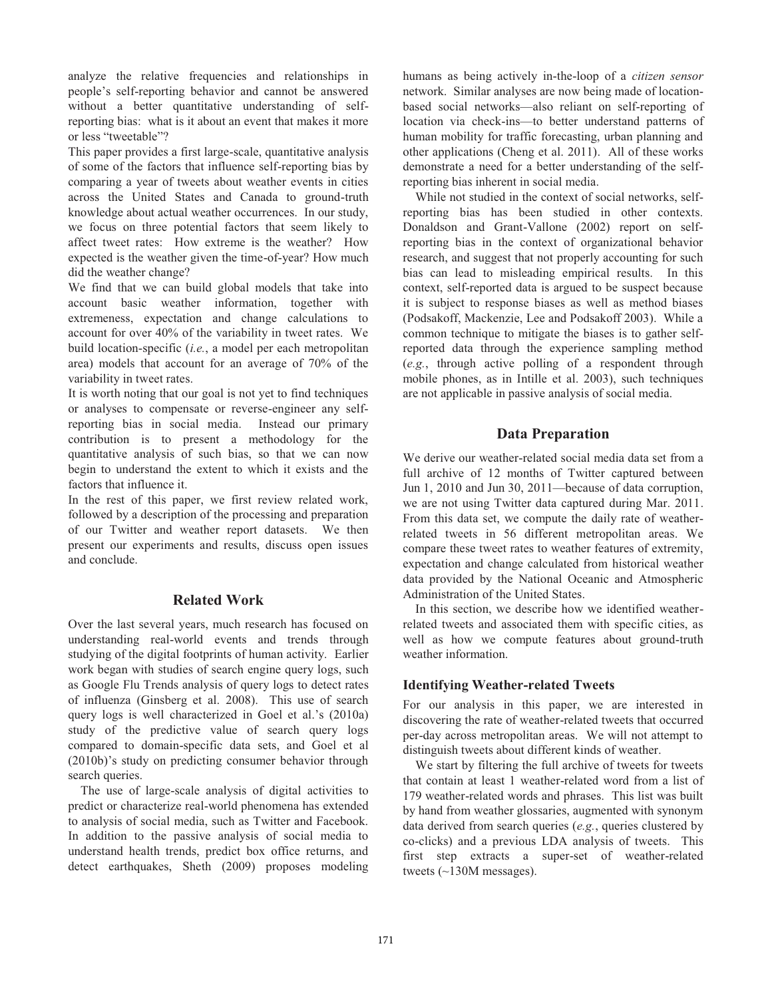analyze the relative frequencies and relationships in people's self-reporting behavior and cannot be answered without a better quantitative understanding of selfreporting bias: what is it about an event that makes it more or less "tweetable"?

This paper provides a first large-scale, quantitative analysis of some of the factors that influence self-reporting bias by comparing a year of tweets about weather events in cities across the United States and Canada to ground-truth knowledge about actual weather occurrences. In our study, we focus on three potential factors that seem likely to affect tweet rates: How extreme is the weather? How expected is the weather given the time-of-year? How much did the weather change?

We find that we can build global models that take into account basic weather information, together with extremeness, expectation and change calculations to account for over 40% of the variability in tweet rates. We build location-specific (*i.e.*, a model per each metropolitan area) models that account for an average of 70% of the variability in tweet rates.

It is worth noting that our goal is not yet to find techniques or analyses to compensate or reverse-engineer any selfreporting bias in social media. Instead our primary contribution is to present a methodology for the quantitative analysis of such bias, so that we can now begin to understand the extent to which it exists and the factors that influence it.

In the rest of this paper, we first review related work, followed by a description of the processing and preparation of our Twitter and weather report datasets. We then present our experiments and results, discuss open issues and conclude.

## **Related Work**

Over the last several years, much research has focused on understanding real-world events and trends through studying of the digital footprints of human activity. Earlier work began with studies of search engine query logs, such as Google Flu Trends analysis of query logs to detect rates of influenza (Ginsberg et al. 2008). This use of search query logs is well characterized in Goel et al.'s (2010a) study of the predictive value of search query logs compared to domain-specific data sets, and Goel et al (2010b)'s study on predicting consumer behavior through search queries.

The use of large-scale analysis of digital activities to predict or characterize real-world phenomena has extended to analysis of social media, such as Twitter and Facebook. In addition to the passive analysis of social media to understand health trends, predict box office returns, and detect earthquakes, Sheth (2009) proposes modeling humans as being actively in-the-loop of a *citizen sensor* network. Similar analyses are now being made of locationbased social networks—also reliant on self-reporting of location via check-ins—to better understand patterns of human mobility for traffic forecasting, urban planning and other applications (Cheng et al. 2011). All of these works demonstrate a need for a better understanding of the selfreporting bias inherent in social media.

While not studied in the context of social networks, selfreporting bias has been studied in other contexts. Donaldson and Grant-Vallone (2002) report on selfreporting bias in the context of organizational behavior research, and suggest that not properly accounting for such bias can lead to misleading empirical results. In this context, self-reported data is argued to be suspect because it is subject to response biases as well as method biases (Podsakoff, Mackenzie, Lee and Podsakoff 2003). While a common technique to mitigate the biases is to gather selfreported data through the experience sampling method (*e.g.*, through active polling of a respondent through mobile phones, as in Intille et al. 2003), such techniques are not applicable in passive analysis of social media.

## **Data Preparation**

We derive our weather-related social media data set from a full archive of 12 months of Twitter captured between Jun 1, 2010 and Jun 30, 2011—because of data corruption, we are not using Twitter data captured during Mar. 2011. From this data set, we compute the daily rate of weatherrelated tweets in 56 different metropolitan areas. We compare these tweet rates to weather features of extremity, expectation and change calculated from historical weather data provided by the National Oceanic and Atmospheric Administration of the United States.

In this section, we describe how we identified weatherrelated tweets and associated them with specific cities, as well as how we compute features about ground-truth weather information.

## **Identifying Weather-related Tweets**

For our analysis in this paper, we are interested in discovering the rate of weather-related tweets that occurred per-day across metropolitan areas. We will not attempt to distinguish tweets about different kinds of weather.

We start by filtering the full archive of tweets for tweets that contain at least 1 weather-related word from a list of 179 weather-related words and phrases. This list was built by hand from weather glossaries, augmented with synonym data derived from search queries (*e.g.*, queries clustered by co-clicks) and a previous LDA analysis of tweets. This first step extracts a super-set of weather-related tweets (~130M messages).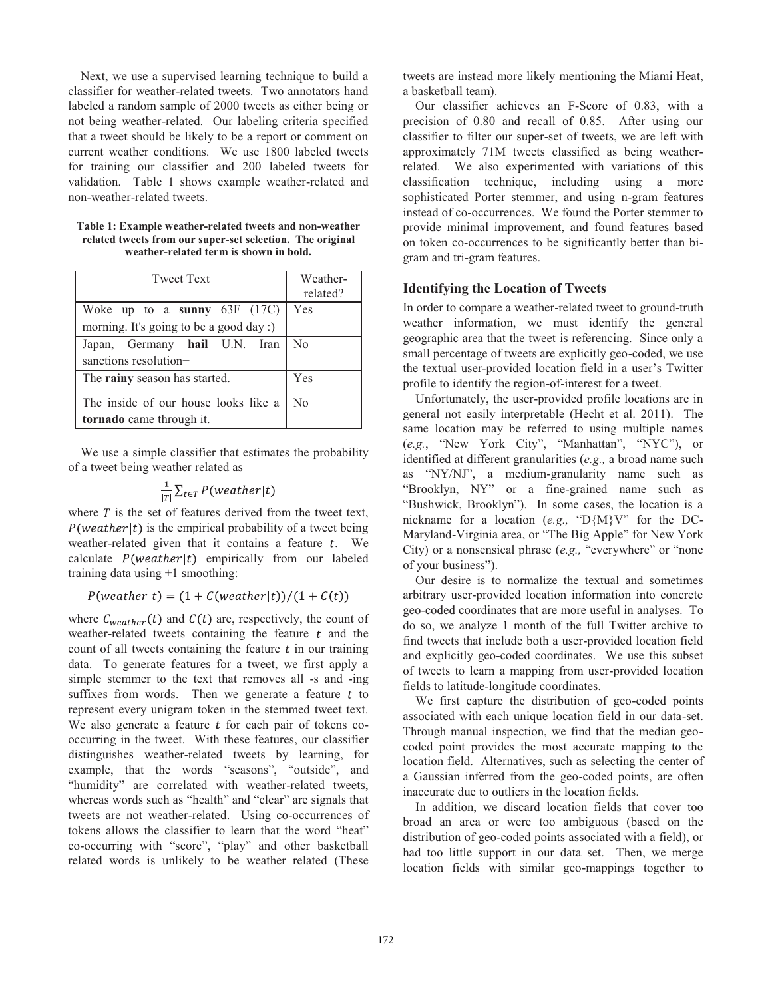Next, we use a supervised learning technique to build a classifier for weather-related tweets. Two annotators hand labeled a random sample of 2000 tweets as either being or not being weather-related. Our labeling criteria specified that a tweet should be likely to be a report or comment on current weather conditions. We use 1800 labeled tweets for training our classifier and 200 labeled tweets for validation. Table 1 shows example weather-related and non-weather-related tweets.

**Table 1: Example weather-related tweets and non-weather related tweets from our super-set selection. The original weather-related term is shown in bold.** 

| <b>Tweet Text</b>                       | Weather-<br>related? |
|-----------------------------------------|----------------------|
| Woke up to a sunny $63F$ (17C)          | Yes                  |
| morning. It's going to be a good day :) |                      |
| Japan, Germany hail U.N. Iran           | N <sub>0</sub>       |
| sanctions resolution+                   |                      |
| The rainy season has started.           | Yes                  |
| The inside of our house looks like a    | N <sub>0</sub>       |
| tornado came through it.                |                      |

We use a simple classifier that estimates the probability of a tweet being weather related as

$$
\frac{1}{|T|}\sum_{t \in T} P(weather|t)
$$

where  $T$  is the set of features derived from the tweet text,  $P(Weather | t)$  is the empirical probability of a tweet being weather-related given that it contains a feature  $t$ . We calculate  $P(weather|t)$  empirically from our labeled training data using +1 smoothing:

 $P(weather|t) = (1 + C(weather|t))/(1 + C(t))$ 

where  $C_{weather}(t)$  and  $C(t)$  are, respectively, the count of weather-related tweets containing the feature  $t$  and the count of all tweets containing the feature  $t$  in our training data. To generate features for a tweet, we first apply a simple stemmer to the text that removes all -s and -ing suffixes from words. Then we generate a feature  $t$  to represent every unigram token in the stemmed tweet text. We also generate a feature  $t$  for each pair of tokens cooccurring in the tweet. With these features, our classifier distinguishes weather-related tweets by learning, for example, that the words "seasons", "outside", and "humidity" are correlated with weather-related tweets, whereas words such as "health" and "clear" are signals that tweets are not weather-related. Using co-occurrences of tokens allows the classifier to learn that the word "heat" co-occurring with "score", "play" and other basketball related words is unlikely to be weather related (These

tweets are instead more likely mentioning the Miami Heat, a basketball team).

Our classifier achieves an F-Score of 0.83, with a precision of 0.80 and recall of 0.85. After using our classifier to filter our super-set of tweets, we are left with approximately 71M tweets classified as being weatherrelated. We also experimented with variations of this classification technique, including using a more sophisticated Porter stemmer, and using n-gram features instead of co-occurrences. We found the Porter stemmer to provide minimal improvement, and found features based on token co-occurrences to be significantly better than bigram and tri-gram features.

# **Identifying the Location of Tweets**

In order to compare a weather-related tweet to ground-truth weather information, we must identify the general geographic area that the tweet is referencing. Since only a small percentage of tweets are explicitly geo-coded, we use the textual user-provided location field in a user's Twitter profile to identify the region-of-interest for a tweet.

Unfortunately, the user-provided profile locations are in general not easily interpretable (Hecht et al. 2011). The same location may be referred to using multiple names (*e.g.*, "New York City", "Manhattan", "NYC"), or identified at different granularities (*e.g.,* a broad name such as "NY/NJ", a medium-granularity name such as "Brooklyn, NY" or a fine-grained name such as "Bushwick, Brooklyn"). In some cases, the location is a nickname for a location (*e.g.,* "D{M}V" for the DC-Maryland-Virginia area, or "The Big Apple" for New York City) or a nonsensical phrase (*e.g.,* "everywhere" or "none of your business").

Our desire is to normalize the textual and sometimes arbitrary user-provided location information into concrete geo-coded coordinates that are more useful in analyses. To do so, we analyze 1 month of the full Twitter archive to find tweets that include both a user-provided location field and explicitly geo-coded coordinates. We use this subset of tweets to learn a mapping from user-provided location fields to latitude-longitude coordinates.

We first capture the distribution of geo-coded points associated with each unique location field in our data-set. Through manual inspection, we find that the median geocoded point provides the most accurate mapping to the location field. Alternatives, such as selecting the center of a Gaussian inferred from the geo-coded points, are often inaccurate due to outliers in the location fields.

In addition, we discard location fields that cover too broad an area or were too ambiguous (based on the distribution of geo-coded points associated with a field), or had too little support in our data set. Then, we merge location fields with similar geo-mappings together to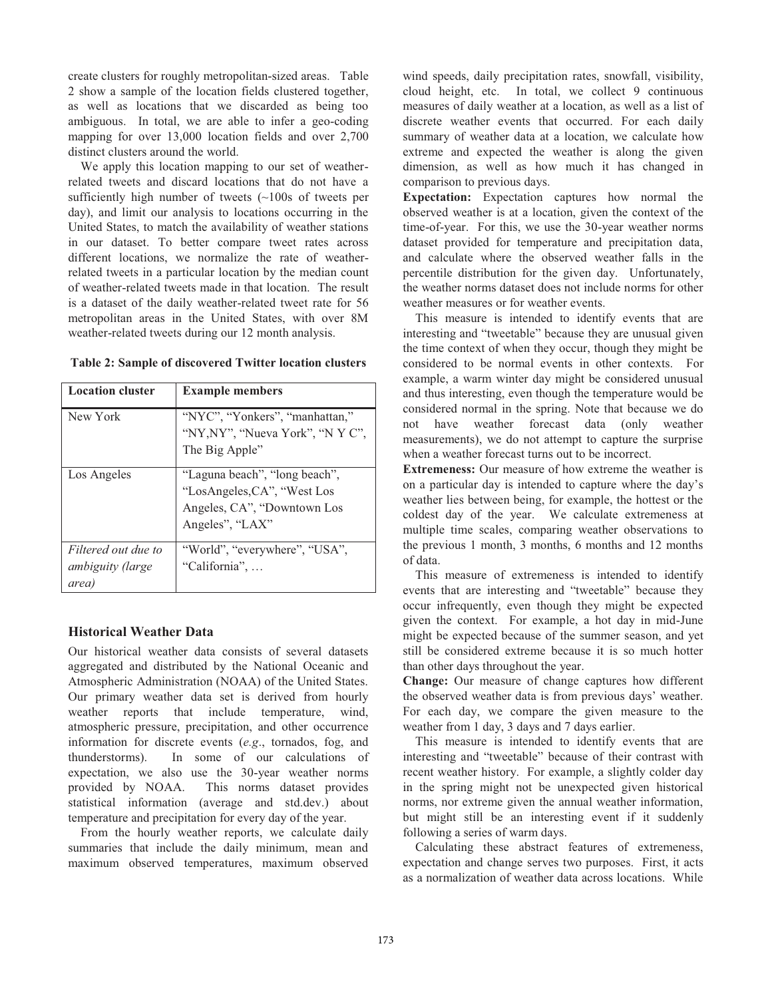create clusters for roughly metropolitan-sized areas. Table 2 show a sample of the location fields clustered together, as well as locations that we discarded as being too ambiguous. In total, we are able to infer a geo-coding mapping for over 13,000 location fields and over 2,700 distinct clusters around the world.

We apply this location mapping to our set of weatherrelated tweets and discard locations that do not have a sufficiently high number of tweets  $\left(\sim 100$  s of tweets per day), and limit our analysis to locations occurring in the United States, to match the availability of weather stations in our dataset. To better compare tweet rates across different locations, we normalize the rate of weatherrelated tweets in a particular location by the median count of weather-related tweets made in that location. The result is a dataset of the daily weather-related tweet rate for 56 metropolitan areas in the United States, with over 8M weather-related tweets during our 12 month analysis.

| <b>Location cluster</b> | <b>Example members</b>           |
|-------------------------|----------------------------------|
| New York                | "NYC", "Yonkers", "manhattan,"   |
|                         | "NY, NY", "Nueva York", "N Y C", |
|                         | The Big Apple"                   |
| Los Angeles             | "Laguna beach", "long beach",    |
|                         | "LosAngeles, CA", "West Los      |
|                         | Angeles, CA", "Downtown Los      |
|                         | Angeles", "LAX"                  |
| Filtered out due to     | "World", "everywhere", "USA",    |
| ambiguity (large        | "California",                    |
| area,                   |                                  |

#### **Table 2: Sample of discovered Twitter location clusters**

#### **Historical Weather Data**

Our historical weather data consists of several datasets aggregated and distributed by the National Oceanic and Atmospheric Administration (NOAA) of the United States. Our primary weather data set is derived from hourly weather reports that include temperature, wind, atmospheric pressure, precipitation, and other occurrence information for discrete events (*e.g*., tornados, fog, and thunderstorms). In some of our calculations of expectation, we also use the 30-year weather norms provided by NOAA. This norms dataset provides statistical information (average and std.dev.) about temperature and precipitation for every day of the year.

From the hourly weather reports, we calculate daily summaries that include the daily minimum, mean and maximum observed temperatures, maximum observed

wind speeds, daily precipitation rates, snowfall, visibility, cloud height, etc. In total, we collect 9 continuous measures of daily weather at a location, as well as a list of discrete weather events that occurred. For each daily summary of weather data at a location, we calculate how extreme and expected the weather is along the given dimension, as well as how much it has changed in comparison to previous days.

**Expectation:** Expectation captures how normal the observed weather is at a location, given the context of the time-of-year. For this, we use the 30-year weather norms dataset provided for temperature and precipitation data, and calculate where the observed weather falls in the percentile distribution for the given day. Unfortunately, the weather norms dataset does not include norms for other weather measures or for weather events.

This measure is intended to identify events that are interesting and "tweetable" because they are unusual given the time context of when they occur, though they might be considered to be normal events in other contexts. For example, a warm winter day might be considered unusual and thus interesting, even though the temperature would be considered normal in the spring. Note that because we do not have weather forecast data (only weather measurements), we do not attempt to capture the surprise when a weather forecast turns out to be incorrect.

**Extremeness:** Our measure of how extreme the weather is on a particular day is intended to capture where the day's weather lies between being, for example, the hottest or the coldest day of the year. We calculate extremeness at multiple time scales, comparing weather observations to the previous 1 month, 3 months, 6 months and 12 months of data.

This measure of extremeness is intended to identify events that are interesting and "tweetable" because they occur infrequently, even though they might be expected given the context. For example, a hot day in mid-June might be expected because of the summer season, and yet still be considered extreme because it is so much hotter than other days throughout the year.

**Change:** Our measure of change captures how different the observed weather data is from previous days' weather. For each day, we compare the given measure to the weather from 1 day, 3 days and 7 days earlier.

This measure is intended to identify events that are interesting and "tweetable" because of their contrast with recent weather history. For example, a slightly colder day in the spring might not be unexpected given historical norms, nor extreme given the annual weather information, but might still be an interesting event if it suddenly following a series of warm days.

Calculating these abstract features of extremeness, expectation and change serves two purposes. First, it acts as a normalization of weather data across locations. While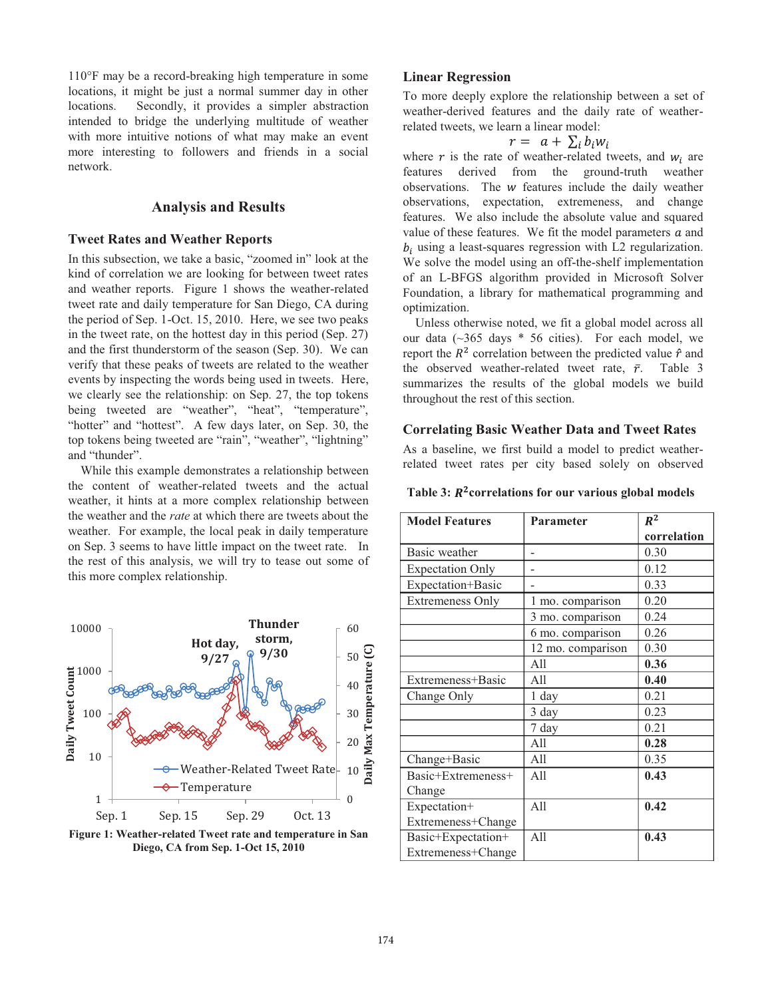110°F may be a record-breaking high temperature in some locations, it might be just a normal summer day in other locations. Secondly, it provides a simpler abstraction intended to bridge the underlying multitude of weather with more intuitive notions of what may make an event more interesting to followers and friends in a social network.

# **Analysis and Results**

#### **Tweet Rates and Weather Reports**

In this subsection, we take a basic, "zoomed in" look at the kind of correlation we are looking for between tweet rates and weather reports. Figure 1 shows the weather-related tweet rate and daily temperature for San Diego, CA during the period of Sep. 1-Oct. 15, 2010. Here, we see two peaks in the tweet rate, on the hottest day in this period (Sep. 27) and the first thunderstorm of the season (Sep. 30). We can verify that these peaks of tweets are related to the weather events by inspecting the words being used in tweets. Here, we clearly see the relationship: on Sep. 27, the top tokens being tweeted are "weather", "heat", "temperature", "hotter" and "hottest". A few days later, on Sep. 30, the top tokens being tweeted are "rain", "weather", "lightning" and "thunder".

While this example demonstrates a relationship between the content of weather-related tweets and the actual weather, it hints at a more complex relationship between the weather and the *rate* at which there are tweets about the weather. For example, the local peak in daily temperature on Sep. 3 seems to have little impact on the tweet rate. In the rest of this analysis, we will try to tease out some of this more complex relationship.



**Figure 1: Weather-related Tweet rate and temperature in San Diego, CA from Sep. 1-Oct 15, 2010**

#### **Linear Regression**

To more deeply explore the relationship between a set of weather-derived features and the daily rate of weatherrelated tweets, we learn a linear model:

$$
r = a + \sum_i b_i w_i
$$

where  $r$  is the rate of weather-related tweets, and  $w_i$  are features derived from the ground-truth weather observations. The  $w$  features include the daily weather observations, expectation, extremeness, and change features. We also include the absolute value and squared value of these features. We fit the model parameters  $a$  and  $b_i$  using a least-squares regression with L2 regularization. We solve the model using an off-the-shelf implementation of an L-BFGS algorithm provided in Microsoft Solver Foundation, a library for mathematical programming and optimization.

Unless otherwise noted, we fit a global model across all our data  $(\sim]365$  days  $*$  56 cities). For each model, we report the  $R^2$  correlation between the predicted value  $\hat{r}$  and the observed weather-related tweet rate,  $\bar{r}$ . Table 3 summarizes the results of the global models we build throughout the rest of this section.

#### **Correlating Basic Weather Data and Tweet Rates**

As a baseline, we first build a model to predict weatherrelated tweet rates per city based solely on observed

Table 3:  $R^2$  correlations for our various global models

| <b>Model Features</b>   | <b>Parameter</b>  | $R^2$       |
|-------------------------|-------------------|-------------|
|                         |                   | correlation |
| Basic weather           |                   | 0.30        |
| <b>Expectation Only</b> |                   | 0.12        |
| Expectation+Basic       |                   | 0.33        |
| <b>Extremeness Only</b> | 1 mo. comparison  | 0.20        |
|                         | 3 mo. comparison  | 0.24        |
|                         | 6 mo. comparison  | 0.26        |
|                         | 12 mo. comparison | 0.30        |
|                         | A11               | 0.36        |
| Extremeness+Basic       | All               | 0.40        |
| Change Only             | 1 day             | 0.21        |
|                         | 3 day             | 0.23        |
|                         | 7 day             | 0.21        |
|                         | A11               | 0.28        |
| Change+Basic            | A11               | 0.35        |
| Basic+Extremeness+      | A11               | 0.43        |
| Change                  |                   |             |
| Expectation+            | A11               | 0.42        |
| Extremeness+Change      |                   |             |
| Basic+Expectation+      | A11               | 0.43        |
| Extremeness+Change      |                   |             |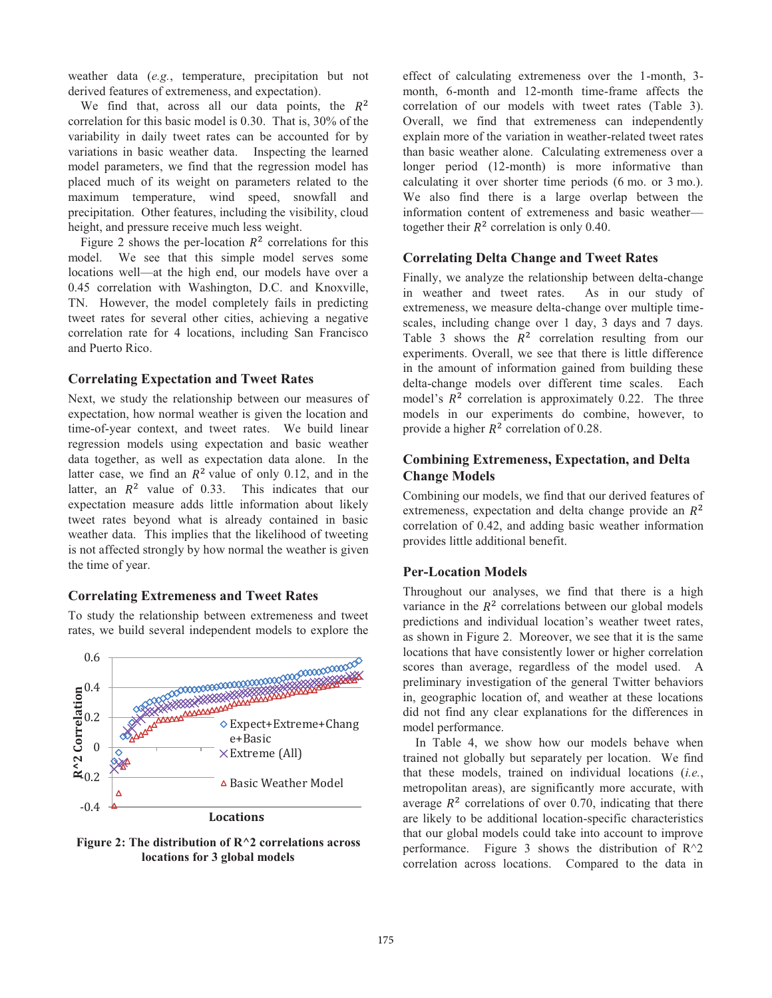weather data (*e.g.*, temperature, precipitation but not derived features of extremeness, and expectation).

We find that, across all our data points, the  $R^2$ correlation for this basic model is 0.30. That is, 30% of the variability in daily tweet rates can be accounted for by variations in basic weather data. Inspecting the learned model parameters, we find that the regression model has placed much of its weight on parameters related to the maximum temperature, wind speed, snowfall and precipitation. Other features, including the visibility, cloud height, and pressure receive much less weight.

Figure 2 shows the per-location  $R^2$  correlations for this model. We see that this simple model serves some locations well—at the high end, our models have over a 0.45 correlation with Washington, D.C. and Knoxville, TN. However, the model completely fails in predicting tweet rates for several other cities, achieving a negative correlation rate for 4 locations, including San Francisco and Puerto Rico.

#### **Correlating Expectation and Tweet Rates**

Next, we study the relationship between our measures of expectation, how normal weather is given the location and time-of-year context, and tweet rates. We build linear regression models using expectation and basic weather data together, as well as expectation data alone. In the latter case, we find an  $R^2$  value of only 0.12, and in the latter, an  $R^2$  value of 0.33. This indicates that our expectation measure adds little information about likely tweet rates beyond what is already contained in basic weather data. This implies that the likelihood of tweeting is not affected strongly by how normal the weather is given the time of year.

## **Correlating Extremeness and Tweet Rates**

To study the relationship between extremeness and tweet rates, we build several independent models to explore the



**Figure 2: The distribution of R^2 correlations across locations for 3 global models**

effect of calculating extremeness over the 1-month, 3 month, 6-month and 12-month time-frame affects the correlation of our models with tweet rates (Table 3). Overall, we find that extremeness can independently explain more of the variation in weather-related tweet rates than basic weather alone. Calculating extremeness over a longer period (12-month) is more informative than calculating it over shorter time periods (6 mo. or 3 mo.). We also find there is a large overlap between the information content of extremeness and basic weather together their  $R^2$  correlation is only 0.40.

#### **Correlating Delta Change and Tweet Rates**

Finally, we analyze the relationship between delta-change in weather and tweet rates. As in our study of extremeness, we measure delta-change over multiple timescales, including change over 1 day, 3 days and 7 days. Table 3 shows the  $R^2$  correlation resulting from our experiments. Overall, we see that there is little difference in the amount of information gained from building these delta-change models over different time scales. Each model's  $R^2$  correlation is approximately 0.22. The three models in our experiments do combine, however, to provide a higher  $R^2$  correlation of 0.28.

# **Combining Extremeness, Expectation, and Delta Change Models**

Combining our models, we find that our derived features of extremeness, expectation and delta change provide an  $R^2$ correlation of 0.42, and adding basic weather information provides little additional benefit.

#### **Per-Location Models**

Throughout our analyses, we find that there is a high variance in the  $R<sup>2</sup>$  correlations between our global models predictions and individual location's weather tweet rates, as shown in Figure 2. Moreover, we see that it is the same locations that have consistently lower or higher correlation scores than average, regardless of the model used. A preliminary investigation of the general Twitter behaviors in, geographic location of, and weather at these locations did not find any clear explanations for the differences in model performance.

In Table 4, we show how our models behave when trained not globally but separately per location. We find that these models, trained on individual locations (*i.e.*, metropolitan areas), are significantly more accurate, with average  $R^2$  correlations of over 0.70, indicating that there are likely to be additional location-specific characteristics that our global models could take into account to improve performance. Figure 3 shows the distribution of  $R^2$ correlation across locations. Compared to the data in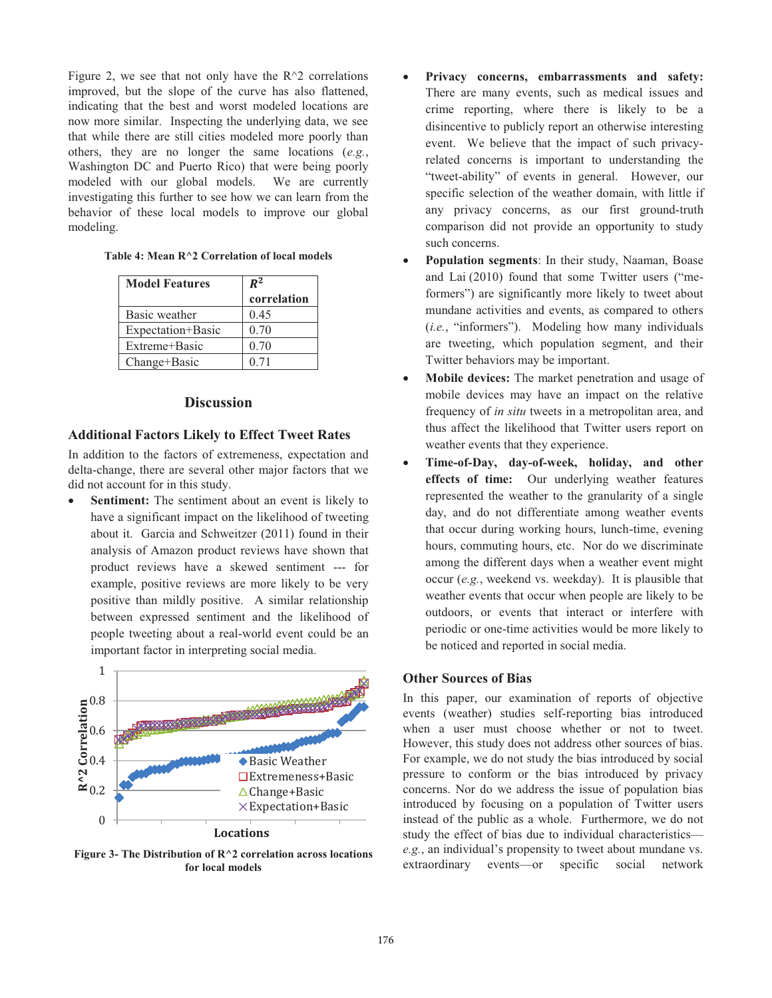Figure 2, we see that not only have the  $R^2$  correlations improved, but the slope of the curve has also flattened, indicating that the best and worst modeled locations are now more similar. Inspecting the underlying data, we see that while there are still cities modeled more poorly than others, they are no longer the same locations (*e.g.*, Washington DC and Puerto Rico) that were being poorly modeled with our global models. We are currently investigating this further to see how we can learn from the behavior of these local models to improve our global modeling.

| <b>Model Features</b> | $R^2$<br>correlation |
|-----------------------|----------------------|
| Basic weather         | 0.45                 |
| Expectation+Basic     | 0.70                 |
| Extreme+Basic         | 0.70                 |
| Change+Basic          | 0.71                 |

## **Discussion**

#### **Additional Factors Likely to Effect Tweet Rates**

In addition to the factors of extremeness, expectation and delta-change, there are several other major factors that we did not account for in this study.

-Sentiment: The sentiment about an event is likely to have a significant impact on the likelihood of tweeting about it. Garcia and Schweitzer (2011) found in their analysis of Amazon product reviews have shown that product reviews have a skewed sentiment --- for example, positive reviews are more likely to be very positive than mildly positive. A similar relationship between expressed sentiment and the likelihood of people tweeting about a real-world event could be an important factor in interpreting social media.



**Figure 3- The Distribution of R^2 correlation across locations for local models**

- - **Privacy concerns, embarrassments and safety:** There are many events, such as medical issues and crime reporting, where there is likely to be a disincentive to publicly report an otherwise interesting event. We believe that the impact of such privacyrelated concerns is important to understanding the "tweet-ability" of events in general. However, our specific selection of the weather domain, with little if any privacy concerns, as our first ground-truth comparison did not provide an opportunity to study such concerns.
- - **Population segments**: In their study, Naaman, Boase and Lai (2010) found that some Twitter users ("meformers") are significantly more likely to tweet about mundane activities and events, as compared to others (*i.e.*, "informers"). Modeling how many individuals are tweeting, which population segment, and their Twitter behaviors may be important.
- - **Mobile devices:** The market penetration and usage of mobile devices may have an impact on the relative frequency of *in situ* tweets in a metropolitan area, and thus affect the likelihood that Twitter users report on weather events that they experience.
- - **Time-of-Day, day-of-week, holiday, and other effects of time:** Our underlying weather features represented the weather to the granularity of a single day, and do not differentiate among weather events that occur during working hours, lunch-time, evening hours, commuting hours, etc. Nor do we discriminate among the different days when a weather event might occur (*e.g.*, weekend vs. weekday). It is plausible that weather events that occur when people are likely to be outdoors, or events that interact or interfere with periodic or one-time activities would be more likely to be noticed and reported in social media.

## **Other Sources of Bias**

In this paper, our examination of reports of objective events (weather) studies self-reporting bias introduced when a user must choose whether or not to tweet. However, this study does not address other sources of bias. For example, we do not study the bias introduced by social pressure to conform or the bias introduced by privacy concerns. Nor do we address the issue of population bias introduced by focusing on a population of Twitter users instead of the public as a whole. Furthermore, we do not study the effect of bias due to individual characteristics *e.g.*, an individual's propensity to tweet about mundane vs. extraordinary events—or specific social network